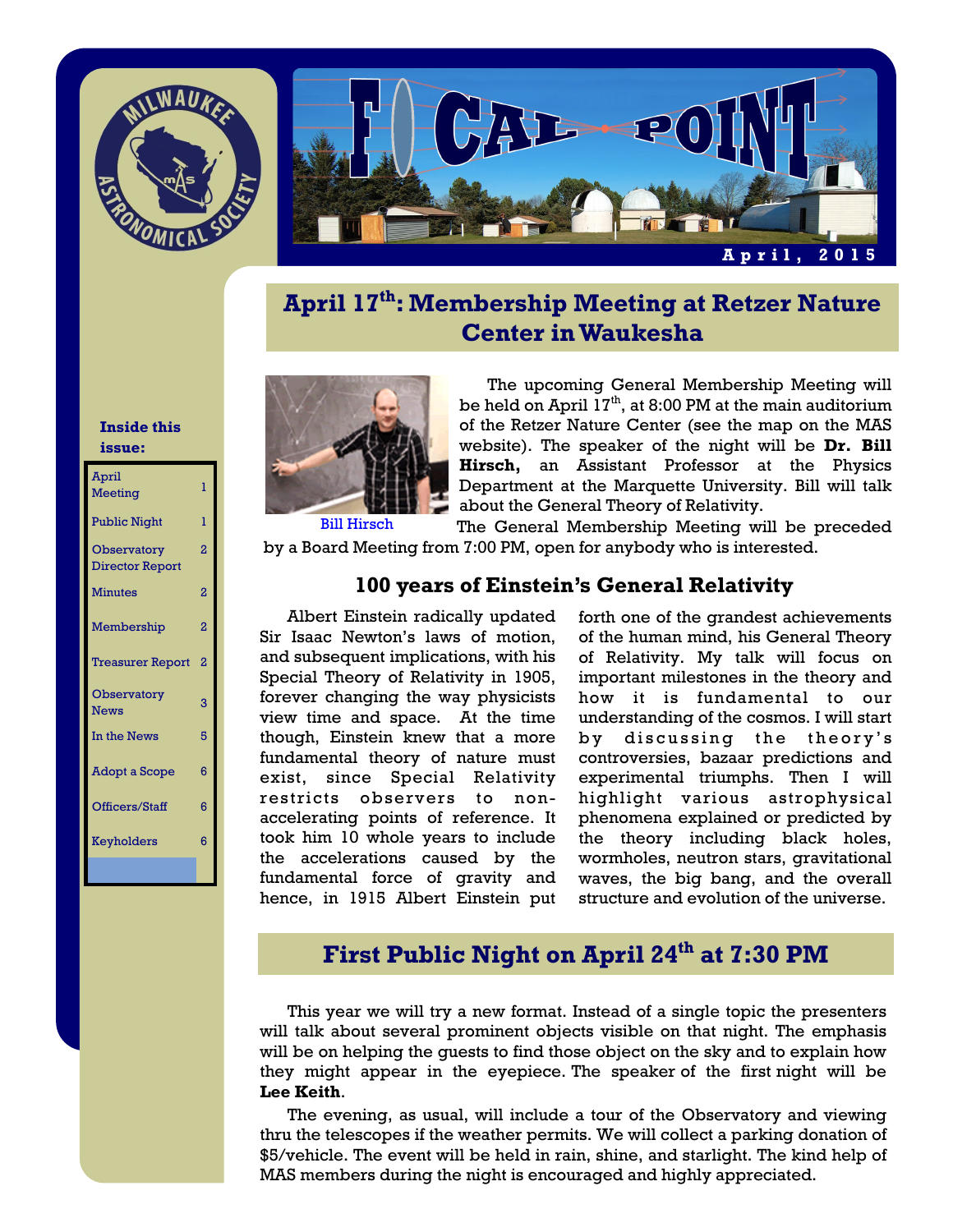



# **April 17th: Membership Meeting at Retzer Nature Center in Waukesha**

#### **Inside this issue:**

| April<br>Meeting                      | 1  |
|---------------------------------------|----|
| <b>Public Night</b>                   | ī  |
| Observatory<br><b>Director Report</b> | 2  |
| <b>Minutes</b>                        | 2  |
| Membership                            | 2  |
| <b>Treasurer Report</b>               | 2  |
| <b>Observatory</b><br><b>News</b>     | 3  |
| In the News                           | 5  |
| <b>Adopt a Scope</b>                  | 6  |
| Officers/Staff                        | 6  |
| Keyholders                            | ิค |
|                                       |    |



 The upcoming General Membership Meeting will be held on April  $17<sup>th</sup>$ , at 8:00 PM at the main auditorium of the Retzer Nature Center (see the map on the MAS website). The speaker of the night will be **Dr. Bill Hirsch,** an Assistant Professor at the Physics Department at the Marquette University. Bill will talk about the General Theory of Relativity.

Bill Hirsch

The General Membership Meeting will be preceded by a Board Meeting from 7:00 PM, open for anybody who is interested.

#### **100 years of Einstein's General Relativity**

Albert Einstein radically updated Sir Isaac Newton's laws of motion, and subsequent implications, with his Special Theory of Relativity in 1905, forever changing the way physicists view time and space. At the time though, Einstein knew that a more fundamental theory of nature must exist, since Special Relativity restricts observers to nonaccelerating points of reference. It took him 10 whole years to include the accelerations caused by the fundamental force of gravity and hence, in 1915 Albert Einstein put forth one of the grandest achievements of the human mind, his General Theory of Relativity. My talk will focus on important milestones in the theory and how it is fundamental to our understanding of the cosmos. I will start by discussing the theory's controversies, bazaar predictions and experimental triumphs. Then I will highlight various astrophysical phenomena explained or predicted by the theory including black holes, wormholes, neutron stars, gravitational waves, the big bang, and the overall structure and evolution of the universe.

# **First Public Night on April 24th at 7:30 PM**

they might appear in the eyepiece. The speaker of the first night will be  **133 Lee Keith**. This year we will try a new format. Instead of a single topic the presenters will talk about several prominent objects visible on that night. The emphasis will be on helping the guests to find those object on the sky and to explain how

 The evening, as usual, will include a tour of the Observatory and viewing thru the telescopes if the weather permits. We will collect a parking donation of \$5/vehicle. The event will be held in rain, shine, and starlight. The kind help of MAS members during the night is encouraged and highly appreciated.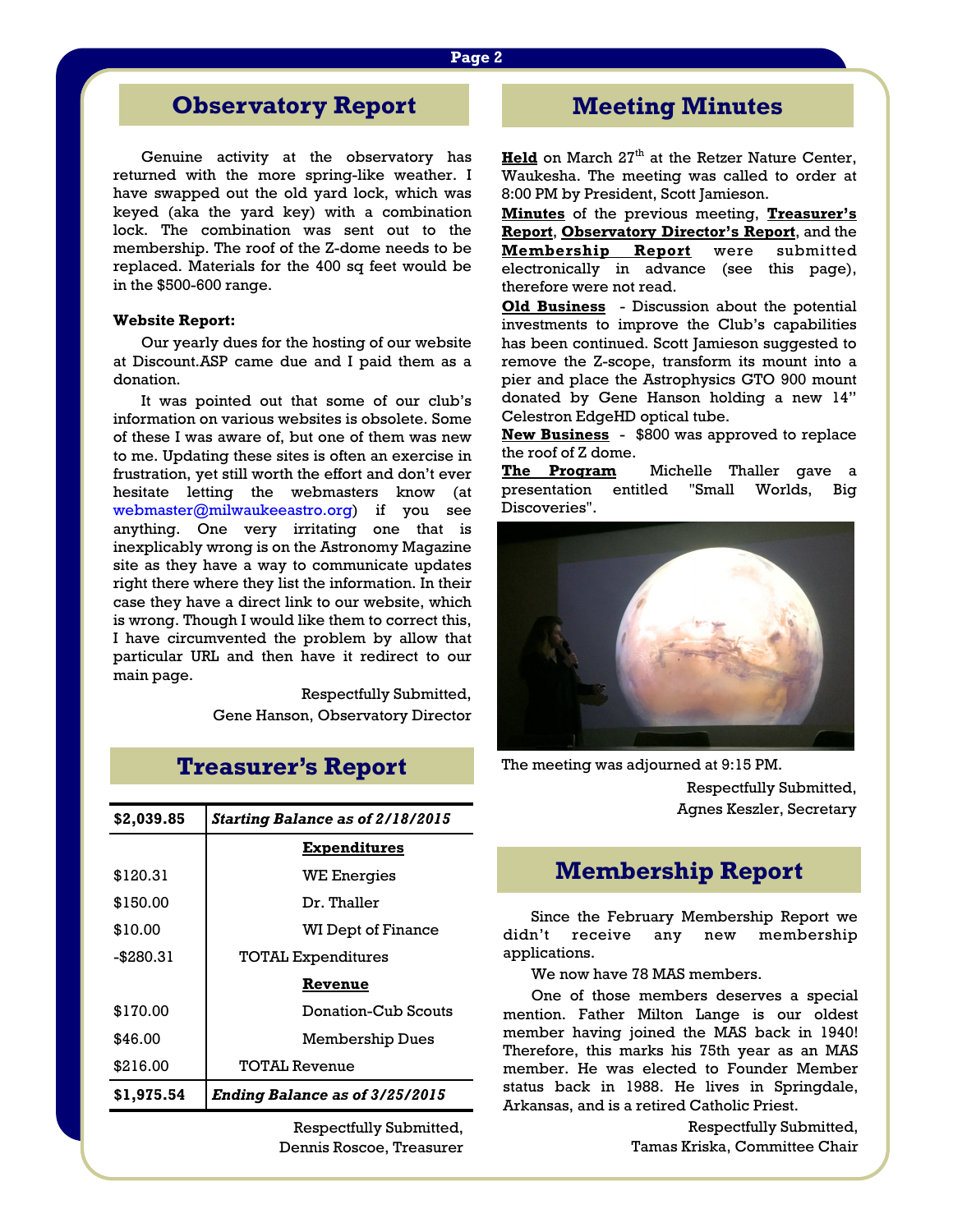# **Observatory Report**

Genuine activity at the observatory has returned with the more spring-like weather. I have swapped out the old yard lock, which was keyed (aka the yard key) with a combination lock. The combination was sent out to the membership. The roof of the Z-dome needs to be replaced. Materials for the 400 sq feet would be in the \$500-600 range.

#### **Website Report:**

 Our yearly dues for the hosting of our website at Discount.ASP came due and I paid them as a donation.

 It was pointed out that some of our club's information on various websites is obsolete. Some of these I was aware of, but one of them was new to me. Updating these sites is often an exercise in frustration, yet still worth the effort and don't ever hesitate letting the webmasters know (at webmaster@milwaukeeastro.org) if you see anything. One very irritating one that is inexplicably wrong is on the Astronomy Magazine site as they have a way to communicate updates right there where they list the information. In their case they have a direct link to our website, which is wrong. Though I would like them to correct this, I have circumvented the problem by allow that particular URL and then have it redirect to our main page.

> Respectfully Submitted, Gene Hanson, Observatory Director

# **\$2,039.85** *Starting Balance as of 2/18/2015*  **Expenditures** \$120.31 WE Energies \$150.00 Dr. Thaller \$10.00 WI Dept of Finance -\$280.31 TOTAL Expenditures **Revenue** \$46.00 Membership Dues \$216.00 TOTAL Revenue **\$1,975.54** *Ending Balance as of 3/25/2015*  \$170.00 Donation-Cub Scouts

Respectfully Submitted, Dennis Roscoe, Treasurer

## **Meeting Minutes**

**Held** on March 27<sup>th</sup> at the Retzer Nature Center, Waukesha. The meeting was called to order at 8:00 PM by President, Scott Jamieson.

**Minutes** of the previous meeting, **Treasurer's Report**, **Observatory Director's Report**, and the **Membership Report** were submitted electronically in advance (see this page), therefore were not read.

**Old Business** - Discussion about the potential investments to improve the Club's capabilities has been continued. Scott Jamieson suggested to remove the Z-scope, transform its mount into a pier and place the Astrophysics GTO 900 mount donated by Gene Hanson holding a new 14" Celestron EdgeHD optical tube.

**New Business** - \$800 was approved to replace the roof of Z dome.

**The Program** Michelle Thaller gave a presentation entitled "Small Worlds, Big Discoveries".



The meeting was adjourned at 9:15 PM.

Respectfully Submitted, Agnes Keszler, Secretary

### **Membership Report**

Since the February Membership Report we didn't receive any new membership applications.

We now have 78 MAS members.

 One of those members deserves a special mention. Father Milton Lange is our oldest member having joined the MAS back in 1940! Therefore, this marks his 75th year as an MAS member. He was elected to Founder Member status back in 1988. He lives in Springdale, Arkansas, and is a retired Catholic Priest.

> Respectfully Submitted, Tamas Kriska, Committee Chair

## **Treasurer's Report**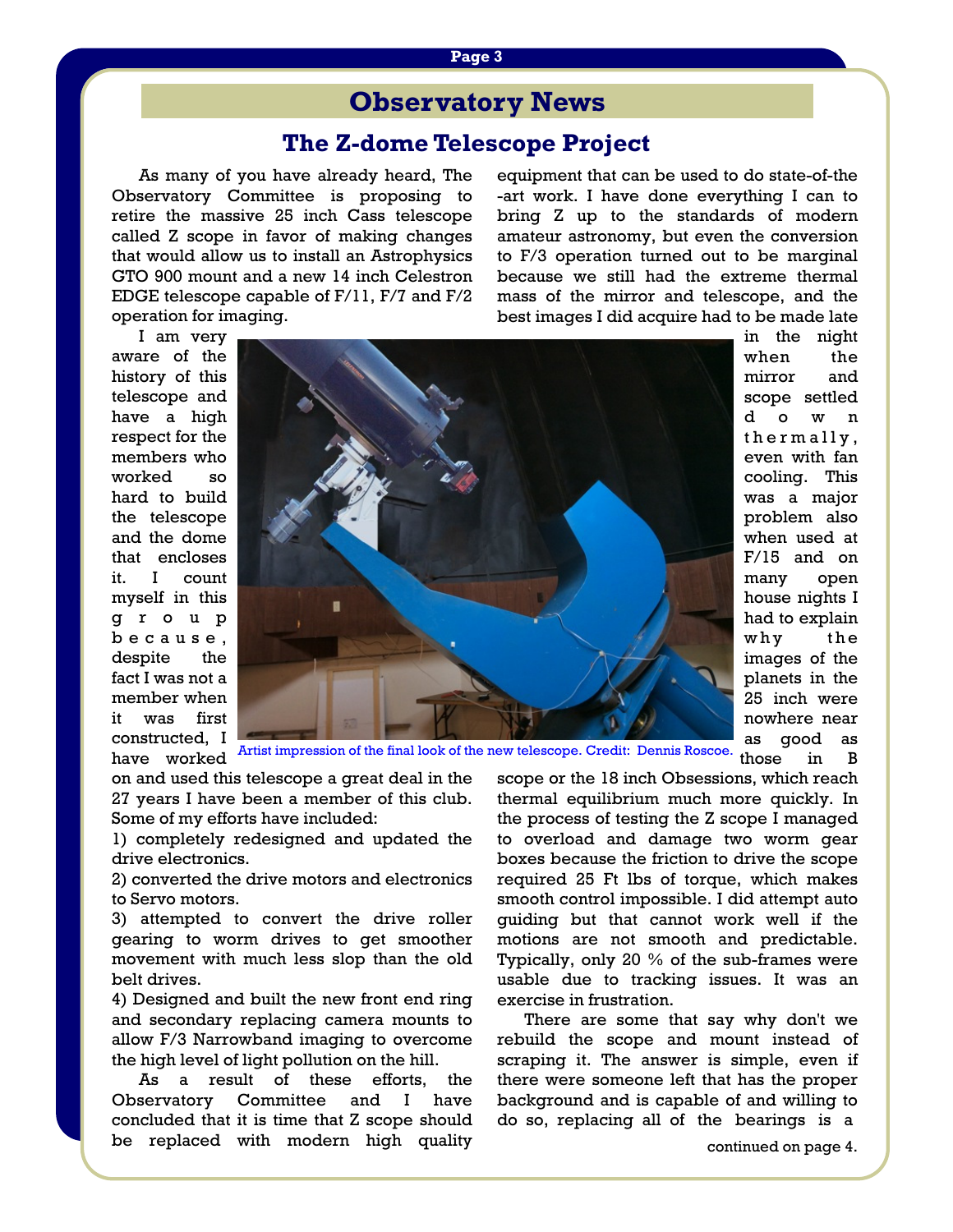# **Observatory News**

#### **The Z-dome Telescope Project**

As many of you have already heard, The Observatory Committee is proposing to retire the massive 25 inch Cass telescope called Z scope in favor of making changes that would allow us to install an Astrophysics GTO 900 mount and a new 14 inch Celestron EDGE telescope capable of F/11, F/7 and F/2 operation for imaging.

equipment that can be used to do state-of-the -art work. I have done everything I can to bring Z up to the standards of modern amateur astronomy, but even the conversion to F/3 operation turned out to be marginal because we still had the extreme thermal mass of the mirror and telescope, and the best images I did acquire had to be made late

 I am very aware of the history of this telescope and have a high respect for the members who worked so hard to build the telescope and the dome that encloses it. I count myself in this g r o u p b e c a u s e , despite the fact I was not a member when it was first constructed, I have worked



in the night when the mirror and scope settled d o w n thermally, even with fan cooling. This was a major problem also when used at F/15 and on many open house nights I had to explain  $why$  the images of the planets in the 25 inch were nowhere near as good as those in B

Artist impression of the final look of the new telescope. Credit: Dennis Roscoe.

on and used this telescope a great deal in the 27 years I have been a member of this club. Some of my efforts have included:

1) completely redesigned and updated the drive electronics.

2) converted the drive motors and electronics to Servo motors.

3) attempted to convert the drive roller gearing to worm drives to get smoother movement with much less slop than the old belt drives.

4) Designed and built the new front end ring and secondary replacing camera mounts to allow F/3 Narrowband imaging to overcome the high level of light pollution on the hill.

 As a result of these efforts, the Observatory Committee and I have concluded that it is time that Z scope should be replaced with modern high quality scope or the 18 inch Obsessions, which reach thermal equilibrium much more quickly. In the process of testing the Z scope I managed to overload and damage two worm gear boxes because the friction to drive the scope required 25 Ft lbs of torque, which makes smooth control impossible. I did attempt auto guiding but that cannot work well if the motions are not smooth and predictable. Typically, only 20 % of the sub-frames were usable due to tracking issues. It was an exercise in frustration.

 There are some that say why don't we rebuild the scope and mount instead of scraping it. The answer is simple, even if there were someone left that has the proper background and is capable of and willing to do so, replacing all of the bearings is a

continued on page 4.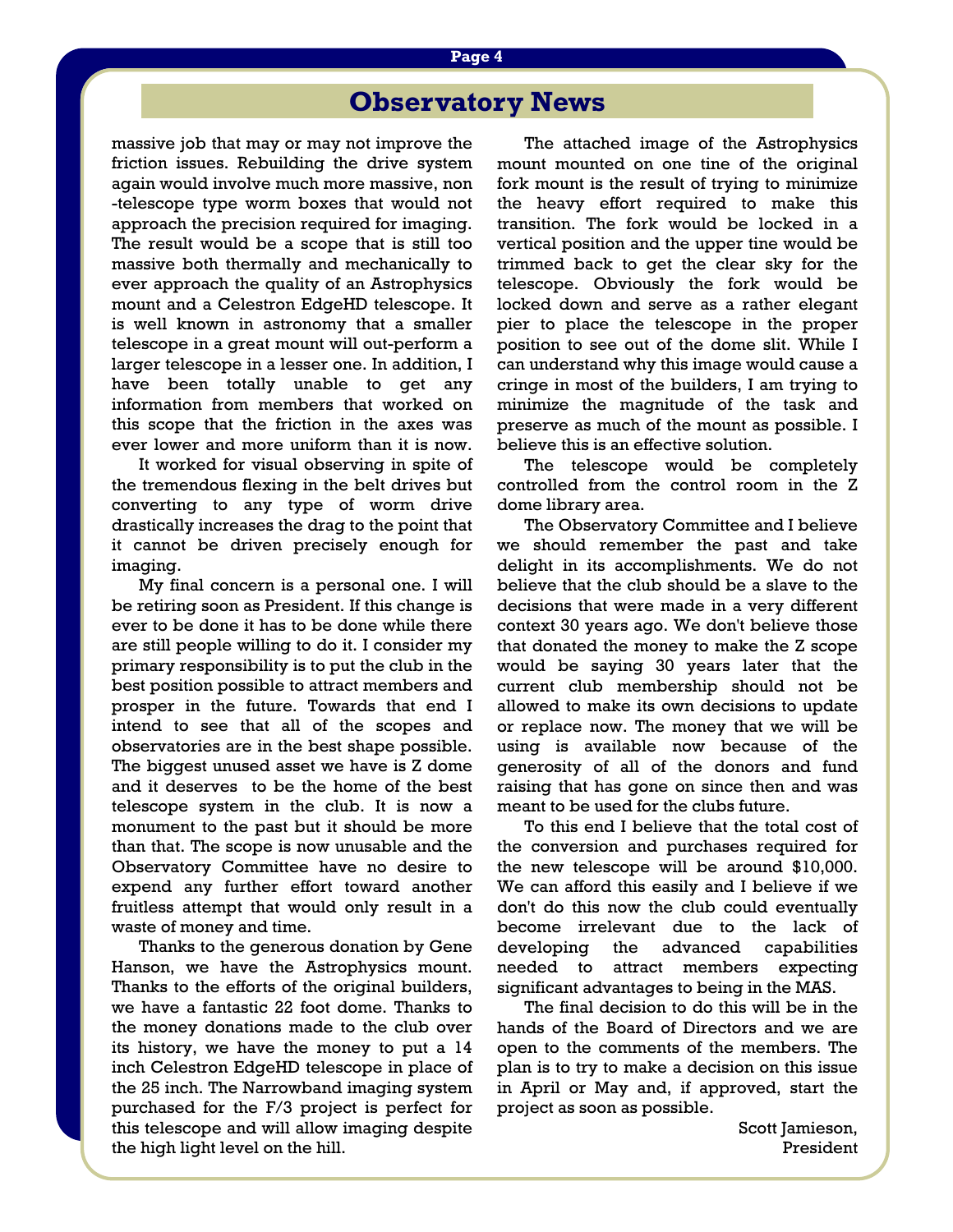#### **Page 4**

## **Observatory News**

massive job that may or may not improve the friction issues. Rebuilding the drive system again would involve much more massive, non -telescope type worm boxes that would not approach the precision required for imaging. The result would be a scope that is still too massive both thermally and mechanically to ever approach the quality of an Astrophysics mount and a Celestron EdgeHD telescope. It is well known in astronomy that a smaller telescope in a great mount will out-perform a larger telescope in a lesser one. In addition, I have been totally unable to get any information from members that worked on this scope that the friction in the axes was ever lower and more uniform than it is now.

It worked for visual observing in spite of the tremendous flexing in the belt drives but converting to any type of worm drive drastically increases the drag to the point that it cannot be driven precisely enough for imaging.

 My final concern is a personal one. I will be retiring soon as President. If this change is ever to be done it has to be done while there are still people willing to do it. I consider my primary responsibility is to put the club in the best position possible to attract members and prosper in the future. Towards that end I intend to see that all of the scopes and observatories are in the best shape possible. The biggest unused asset we have is Z dome and it deserves to be the home of the best telescope system in the club. It is now a monument to the past but it should be more than that. The scope is now unusable and the Observatory Committee have no desire to expend any further effort toward another fruitless attempt that would only result in a waste of money and time.

 Thanks to the generous donation by Gene Hanson, we have the Astrophysics mount. Thanks to the efforts of the original builders, we have a fantastic 22 foot dome. Thanks to the money donations made to the club over its history, we have the money to put a 14 inch Celestron EdgeHD telescope in place of the 25 inch. The Narrowband imaging system purchased for the F/3 project is perfect for this telescope and will allow imaging despite the high light level on the hill.

 The attached image of the Astrophysics mount mounted on one tine of the original fork mount is the result of trying to minimize the heavy effort required to make this transition. The fork would be locked in a vertical position and the upper tine would be trimmed back to get the clear sky for the telescope. Obviously the fork would be locked down and serve as a rather elegant pier to place the telescope in the proper position to see out of the dome slit. While I can understand why this image would cause a cringe in most of the builders, I am trying to minimize the magnitude of the task and preserve as much of the mount as possible. I believe this is an effective solution.

 The telescope would be completely controlled from the control room in the Z dome library area.

 The Observatory Committee and I believe we should remember the past and take delight in its accomplishments. We do not believe that the club should be a slave to the decisions that were made in a very different context 30 years ago. We don't believe those that donated the money to make the Z scope would be saying 30 years later that the current club membership should not be allowed to make its own decisions to update or replace now. The money that we will be using is available now because of the generosity of all of the donors and fund raising that has gone on since then and was meant to be used for the clubs future.

 To this end I believe that the total cost of the conversion and purchases required for the new telescope will be around \$10,000. We can afford this easily and I believe if we don't do this now the club could eventually become irrelevant due to the lack of developing the advanced capabilities needed to attract members expecting significant advantages to being in the MAS.

 The final decision to do this will be in the hands of the Board of Directors and we are open to the comments of the members. The plan is to try to make a decision on this issue in April or May and, if approved, start the project as soon as possible.

> Scott Jamieson, President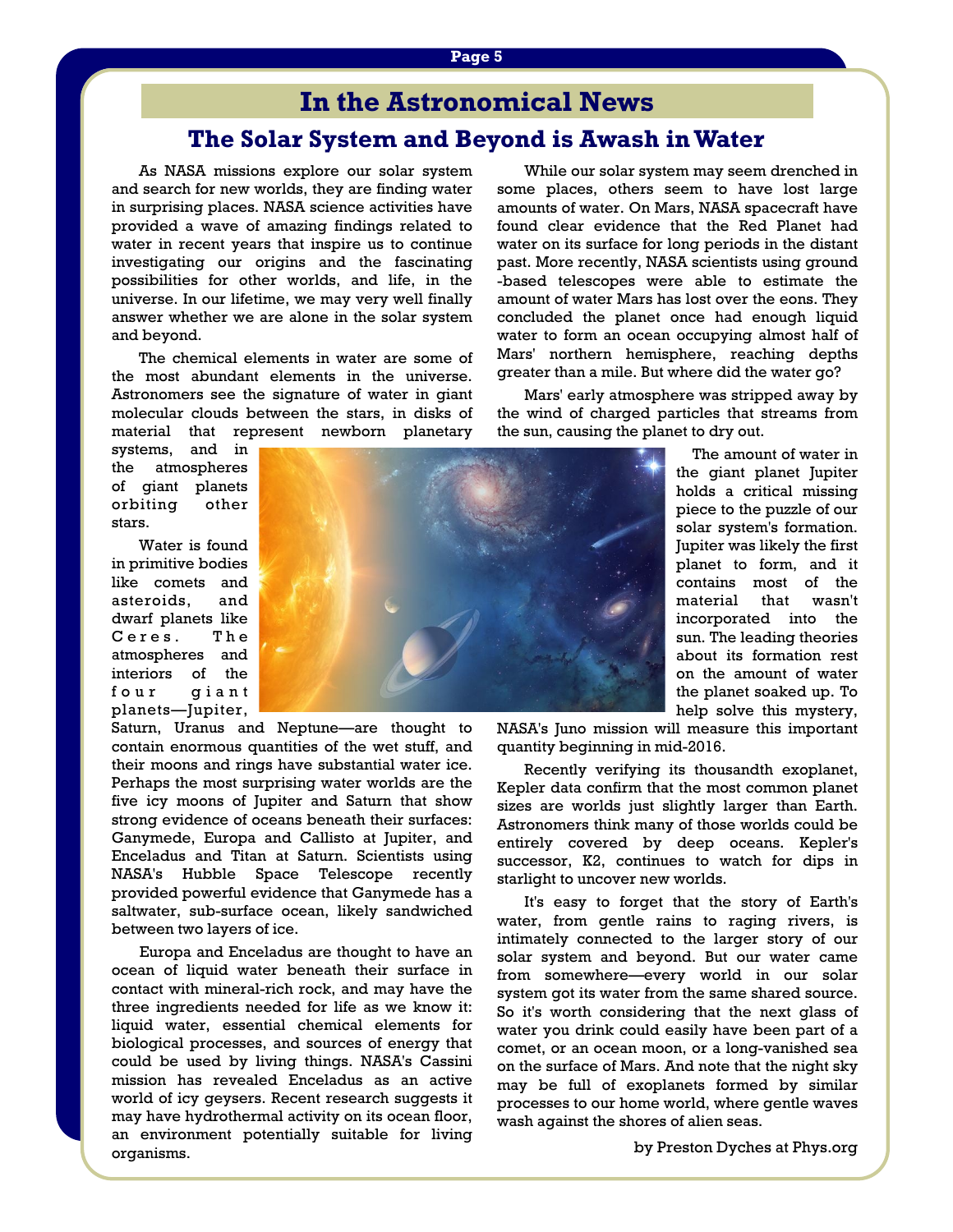#### **Page 5**

# **In the Astronomical News**

## **The Solar System and Beyond is Awash in Water**

 As NASA missions explore our solar system and search for new worlds, they are finding water in surprising places. NASA science activities have provided a wave of amazing findings related to water in recent years that inspire us to continue investigating our origins and the fascinating possibilities for other worlds, and life, in the universe. In our lifetime, we may very well finally answer whether we are alone in the solar system and beyond.

 The chemical elements in water are some of the most abundant elements in the universe. Astronomers see the signature of water in giant molecular clouds between the stars, in disks of material that represent newborn planetary

systems, and in the atmospheres of giant planets orbiting other stars.

 Water is found in primitive bodies like comets and asteroids, and dwarf planets like Ceres. The atmospheres and interiors of the four giant planets—Jupiter,

Saturn, Uranus and Neptune—are thought to contain enormous quantities of the wet stuff, and their moons and rings have substantial water ice. Perhaps the most surprising water worlds are the five icy moons of Jupiter and Saturn that show strong evidence of oceans beneath their surfaces: Ganymede, Europa and Callisto at Jupiter, and Enceladus and Titan at Saturn. Scientists using NASA's Hubble Space Telescope recently provided powerful evidence that Ganymede has a saltwater, sub-surface ocean, likely sandwiched between two layers of ice.

 Europa and Enceladus are thought to have an ocean of liquid water beneath their surface in contact with mineral-rich rock, and may have the three ingredients needed for life as we know it: liquid water, essential chemical elements for biological processes, and sources of energy that could be used by living things. NASA's Cassini mission has revealed Enceladus as an active world of icy geysers. Recent research suggests it may have hydrothermal activity on its ocean floor, an environment potentially suitable for living organisms.

 While our solar system may seem drenched in some places, others seem to have lost large amounts of water. On Mars, NASA spacecraft have found clear evidence that the Red Planet had water on its surface for long periods in the distant past. More recently, NASA scientists using ground -based telescopes were able to estimate the amount of water Mars has lost over the eons. They concluded the planet once had enough liquid water to form an ocean occupying almost half of Mars' northern hemisphere, reaching depths greater than a mile. But where did the water go?

 Mars' early atmosphere was stripped away by the wind of charged particles that streams from the sun, causing the planet to dry out.

> The amount of water in the giant planet Jupiter holds a critical missing piece to the puzzle of our solar system's formation. Jupiter was likely the first planet to form, and it contains most of the material that wasn't incorporated into the sun. The leading theories about its formation rest on the amount of water the planet soaked up. To help solve this mystery,

NASA's Juno mission will measure this important quantity beginning in mid-2016.

 Recently verifying its thousandth exoplanet, Kepler data confirm that the most common planet sizes are worlds just slightly larger than Earth. Astronomers think many of those worlds could be entirely covered by deep oceans. Kepler's successor, K2, continues to watch for dips in starlight to uncover new worlds.

 It's easy to forget that the story of Earth's water, from gentle rains to raging rivers, is intimately connected to the larger story of our solar system and beyond. But our water came from somewhere—every world in our solar system got its water from the same shared source. So it's worth considering that the next glass of water you drink could easily have been part of a comet, or an ocean moon, or a long-vanished sea on the surface of Mars. And note that the night sky may be full of exoplanets formed by similar processes to our home world, where gentle waves wash against the shores of alien seas.

by Preston Dyches at Phys.org